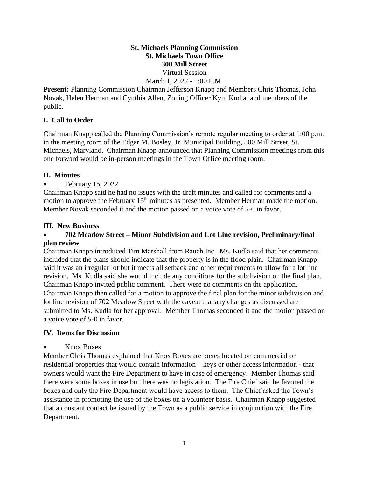#### **St. Michaels Planning Commission St. Michaels Town Office 300 Mill Street**  Virtual Session March 1, 2022 - 1:00 P.M.

**Present:** Planning Commission Chairman Jefferson Knapp and Members Chris Thomas, John Novak, Helen Herman and Cynthia Allen, Zoning Officer Kym Kudla, and members of the public.

### **I. Call to Order**

Chairman Knapp called the Planning Commission's remote regular meeting to order at 1:00 p.m. in the meeting room of the Edgar M. Bosley, Jr. Municipal Building, 300 Mill Street, St. Michaels, Maryland. Chairman Knapp announced that Planning Commission meetings from this one forward would be in-person meetings in the Town Office meeting room.

## **II. Minutes**

• February 15, 2022

Chairman Knapp said he had no issues with the draft minutes and called for comments and a motion to approve the February  $15<sup>th</sup>$  minutes as presented. Member Herman made the motion. Member Novak seconded it and the motion passed on a voice vote of 5-0 in favor.

## **III. New Business**

### • **702 Meadow Street – Minor Subdivision and Lot Line revision, Preliminary/final plan review**

Chairman Knapp introduced Tim Marshall from Rauch Inc. Ms. Kudla said that her comments included that the plans should indicate that the property is in the flood plain. Chairman Knapp said it was an irregular lot but it meets all setback and other requirements to allow for a lot line revision. Ms. Kudla said she would include any conditions for the subdivision on the final plan. Chairman Knapp invited public comment. There were no comments on the application. Chairman Knapp then called for a motion to approve the final plan for the minor subdivision and lot line revision of 702 Meadow Street with the caveat that any changes as discussed are submitted to Ms. Kudla for her approval. Member Thomas seconded it and the motion passed on a voice vote of 5-0 in favor.

### **IV. Items for Discussion**

### • Knox Boxes

Member Chris Thomas explained that Knox Boxes are boxes located on commercial or residential properties that would contain information – keys or other access information - that owners would want the Fire Department to have in case of emergency. Member Thomas said there were some boxes in use but there was no legislation. The Fire Chief said he favored the boxes and only the Fire Department would have access to them. The Chief asked the Town's assistance in promoting the use of the boxes on a volunteer basis. Chairman Knapp suggested that a constant contact be issued by the Town as a public service in conjunction with the Fire Department.